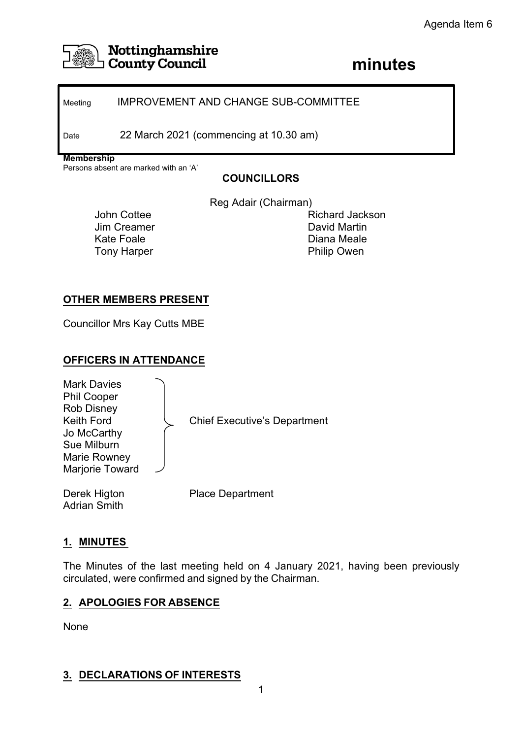

# **Nottinghamshire**<br> **County Council**<br> **County Council County Council**

## Meeting **IMPROVEMENT AND CHANGE SUB-COMMITTEE**

Date 22 March 2021 (commencing at 10.30 am)

**Membership**

Persons absent are marked with an 'A'

# **COUNCILLORS**

Reg Adair (Chairman)

John Cottee Jim Creamer Kate Foale Tony Harper

Richard Jackson David Martin Diana Meale Philip Owen

## **OTHER MEMBERS PRESENT**

Councillor Mrs Kay Cutts MBE

## **OFFICERS IN ATTENDANCE**

Mark Davies Phil Cooper Rob Disney Jo McCarthy Sue Milburn Marie Rowney Marjorie Toward

Keith Ford  $\setminus$  Chief Executive's Department

Adrian Smith

Derek Higton Place Department

## **1. MINUTES**

The Minutes of the last meeting held on 4 January 2021, having been previously circulated, were confirmed and signed by the Chairman.

## **2. APOLOGIES FOR ABSENCE**

None

## **3. DECLARATIONS OF INTERESTS**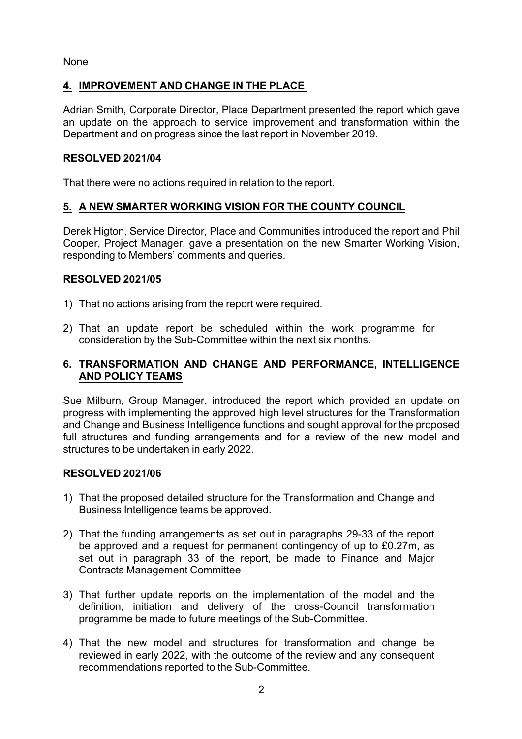None

## **4. IMPROVEMENT AND CHANGE IN THE PLACE**

Adrian Smith, Corporate Director, Place Department presented the report which gave an update on the approach to service improvement and transformation within the Department and on progress since the last report in November 2019.

#### **RESOLVED 2021/04**

That there were no actions required in relation to the report.

## **5. A NEW SMARTER WORKING VISION FOR THE COUNTY COUNCIL**

Derek Higton, Service Director, Place and Communities introduced the report and Phil Cooper, Project Manager, gave a presentation on the new Smarter Working Vision, responding to Members' comments and queries.

#### **RESOLVED 2021/05**

- 1) That no actions arising from the report were required.
- 2) That an update report be scheduled within the work programme for consideration by the Sub-Committee within the next six months.

#### **6. TRANSFORMATION AND CHANGE AND PERFORMANCE, INTELLIGENCE AND POLICY TEAMS**

Sue Milburn, Group Manager, introduced the report which provided an update on progress with implementing the approved high level structures for the Transformation and Change and Business Intelligence functions and sought approval for the proposed full structures and funding arrangements and for a review of the new model and structures to be undertaken in early 2022.

## **RESOLVED 2021/06**

- 1) That the proposed detailed structure for the Transformation and Change and Business Intelligence teams be approved.
- 2) That the funding arrangements as set out in paragraphs 29-33 of the report be approved and a request for permanent contingency of up to £0.27m, as set out in paragraph 33 of the report, be made to Finance and Major Contracts Management Committee
- 3) That further update reports on the implementation of the model and the definition, initiation and delivery of the cross-Council transformation programme be made to future meetings of the Sub-Committee.
- 4) That the new model and structures for transformation and change be reviewed in early 2022, with the outcome of the review and any consequent recommendations reported to the Sub-Committee.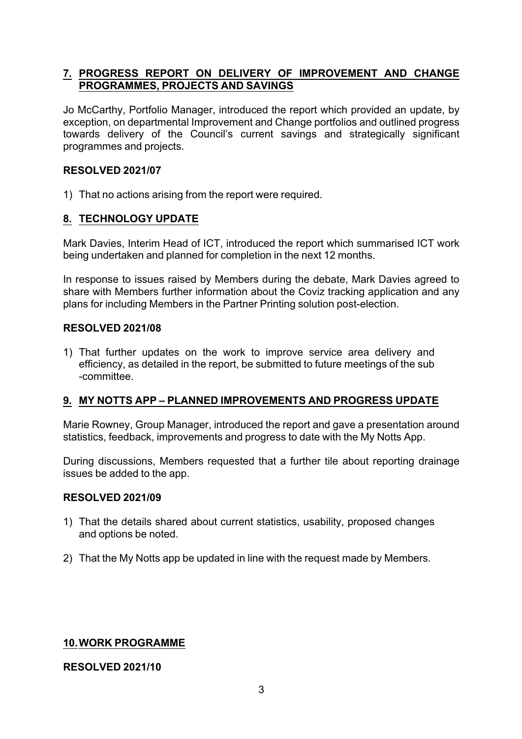#### **7. PROGRESS REPORT ON DELIVERY OF IMPROVEMENT AND CHANGE PROGRAMMES, PROJECTS AND SAVINGS**

Jo McCarthy, Portfolio Manager, introduced the report which provided an update, by exception, on departmental Improvement and Change portfolios and outlined progress towards delivery of the Council's current savings and strategically significant programmes and projects.

#### **RESOLVED 2021/07**

1) That no actions arising from the report were required.

## **8. TECHNOLOGY UPDATE**

Mark Davies, Interim Head of ICT, introduced the report which summarised ICT work being undertaken and planned for completion in the next 12 months.

In response to issues raised by Members during the debate, Mark Davies agreed to share with Members further information about the Coviz tracking application and any plans for including Members in the Partner Printing solution post-election.

#### **RESOLVED 2021/08**

1) That further updates on the work to improve service area delivery and efficiency, as detailed in the report, be submitted to future meetings of the sub committee.

## **9. MY NOTTS APP – PLANNED IMPROVEMENTS AND PROGRESS UPDATE**

Marie Rowney, Group Manager, introduced the report and gave a presentation around statistics, feedback, improvements and progress to date with the My Notts App.

During discussions, Members requested that a further tile about reporting drainage issues be added to the app.

#### **RESOLVED 2021/09**

- 1) That the details shared about current statistics, usability, proposed changes and options be noted.
- 2) That the My Notts app be updated in line with the request made by Members.

#### **10.WORK PROGRAMME**

#### **RESOLVED 2021/10**